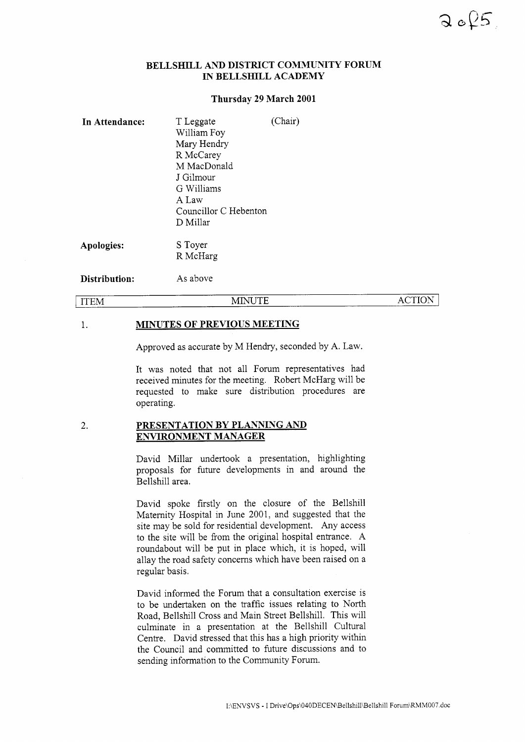# **BELLSHILL AND DISTRICT COMMUNITY FORUM IN BELLSHILL ACADEMY**

## **Thursday 29 March 2001**

| In Attendance: | T Leggate<br>William Foy<br>Mary Hendry<br>R McCarey<br>M MacDonald<br>J Gilmour<br>G Williams<br>A Law<br>Councillor C Hebenton<br>D Millar | (Chair) |               |
|----------------|----------------------------------------------------------------------------------------------------------------------------------------------|---------|---------------|
| Apologies:     | S Toyer<br>R McHarg                                                                                                                          |         |               |
| Distribution:  | As above                                                                                                                                     |         |               |
| <b>ITEM</b>    | MINUTE                                                                                                                                       |         | <b>ACTION</b> |

#### 1. **MINUTES OF PREVIOUS MEETING**

Approved as accurate by M Hendry, seconded by A. Law.

It was noted that not all Forum representatives had received minutes for the meeting. Robert McHarg will be requested to make sure distribution procedures are operating.

### 2. **PRESENTATION BY PLANNING AND ENVIRONMENT MANAGER**

David Millar undertook a presentation, highlighting proposals for future developments in and around the Bellshill area.

David spoke firstly on the closure of the Bellshill Maternity Hospital in June 2001, and suggested that the site may be sold for residential development. Any access to the site will be from the original hospital entrance. A roundabout will be put in place which, it is hoped, will allay the road safety concerns which have been raised on a regular basis.

David informed the Forum that a consultation exercise is to be undertaken on the traffic issues relating to North Road, Bellshill Cross and Main Street Bellshill. This will culminate in a presentation at the Bellshill Cultural Centre. David stressed that this has a high priority within the Council and committed to future discussions and to sending information to the Community Forum.